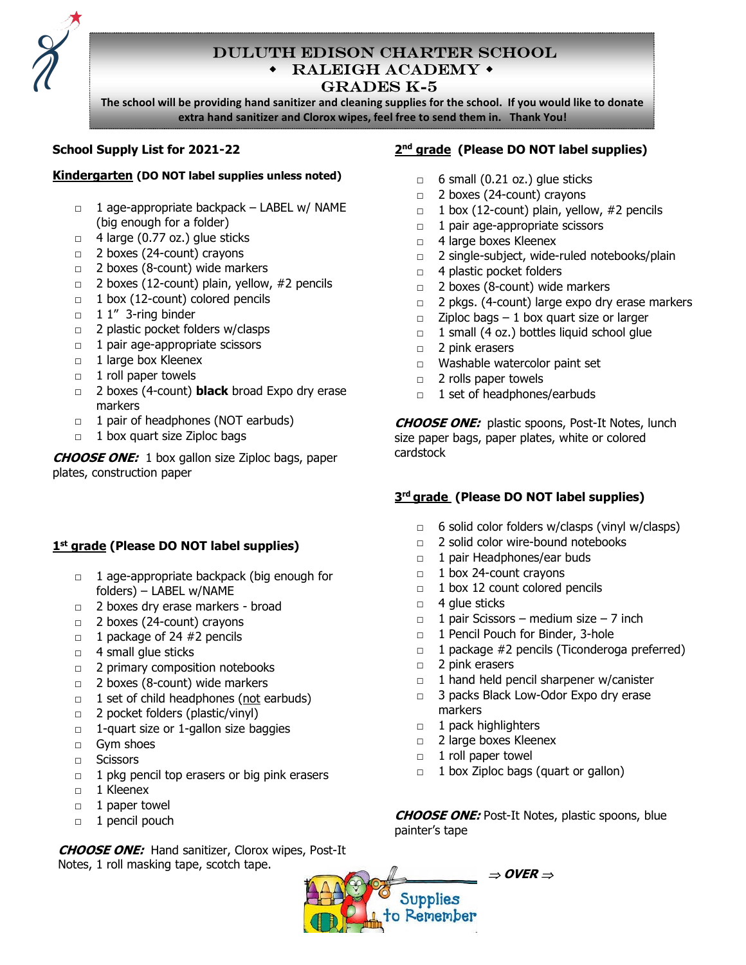

### Duluth Edison Charter School  $\triangleleft$ RALEIGH ACADEMY $\triangleleft$ Grades k-5

The school will be providing hand sanitizer and cleaning supplies for the school. If you would like to donate extra hand sanitizer and Clorox wipes, feel free to send them in. Thank You!

Ï

### School Supply List for 2021-22

#### Kindergarten (DO NOT label supplies unless noted)

- □ 1 age-appropriate backpack LABEL w/ NAME (big enough for a folder)
- $\Box$  4 large (0.77 oz.) glue sticks
- □ 2 boxes (24-count) crayons
- □ 2 boxes (8-count) wide markers
- □ 2 boxes (12-count) plain, yellow, #2 pencils
- $\Box$  1 box (12-count) colored pencils
- $\Box$  1 1" 3-ring binder
- □ 2 plastic pocket folders w/clasps
- □ 1 pair age-appropriate scissors
- □ 1 large box Kleenex
- □ 1 roll paper towels
- □ 2 boxes (4-count) **black** broad Expo dry erase markers
- $\Box$  1 pair of headphones (NOT earbuds)
- □ 1 box quart size Ziploc bags

**CHOOSE ONE:** 1 box gallon size Ziploc bags, paper plates, construction paper

# 1<sup>st</sup> grade (Please DO NOT label supplies)

- □ 1 age-appropriate backpack (big enough for folders) – LABEL w/NAME
- □ 2 boxes dry erase markers broad
- □ 2 boxes (24-count) crayons
- $\Box$  1 package of 24 #2 pencils
- □ 4 small glue sticks
- □ 2 primary composition notebooks
- □ 2 boxes (8-count) wide markers
- □ 1 set of child headphones (not earbuds)
- $\Box$  2 pocket folders (plastic/vinyl)
- □ 1-quart size or 1-gallon size baggies
- □ Gym shoes
- □ Scissors
- $\Box$  1 pkg pencil top erasers or big pink erasers
- □ 1 Kleenex
- □ 1 paper towel
- □ 1 pencil pouch

CHOOSE ONE: Hand sanitizer, Clorox wipes, Post-It Notes, 1 roll masking tape, scotch tape.

### 2<sup>nd</sup> grade (Please DO NOT label supplies)

- $\Box$  6 small (0.21 oz.) glue sticks
- □ 2 boxes (24-count) crayons
- $\Box$  1 box (12-count) plain, yellow, #2 pencils
- $\Box$  1 pair age-appropriate scissors
- □ 4 large boxes Kleenex
- □ 2 single-subject, wide-ruled notebooks/plain
- □ 4 plastic pocket folders
- □ 2 boxes (8-count) wide markers
- □ 2 pkgs. (4-count) large expo dry erase markers
- $\Box$  Ziploc bags 1 box quart size or larger
- $\Box$  1 small (4 oz.) bottles liquid school glue
- □ 2 pink erasers
- □ Washable watercolor paint set
- □ 2 rolls paper towels
- □ 1 set of headphones/earbuds

**CHOOSE ONE:** plastic spoons, Post-It Notes, lunch size paper bags, paper plates, white or colored cardstock

# 3<sup>rd</sup> grade (Please DO NOT label supplies)

- $\Box$  6 solid color folders w/clasps (vinyl w/clasps)
- □ 2 solid color wire-bound notebooks
- □ 1 pair Headphones/ear buds
- □ 1 box 24-count crayons
- □ 1 box 12 count colored pencils
- □ 4 glue sticks
- $\Box$  1 pair Scissors medium size 7 inch
- □ 1 Pencil Pouch for Binder, 3-hole
- □ 1 package #2 pencils (Ticonderoga preferred)
- □ 2 pink erasers
- □ 1 hand held pencil sharpener w/canister
- □ 3 packs Black Low-Odor Expo dry erase markers
- □ 1 pack highlighters
- □ 2 large boxes Kleenex
- □ 1 roll paper towel
- $\Box$  1 box Ziploc bags (quart or gallon)

CHOOSE ONE: Post-It Notes, plastic spoons, blue painter's tape